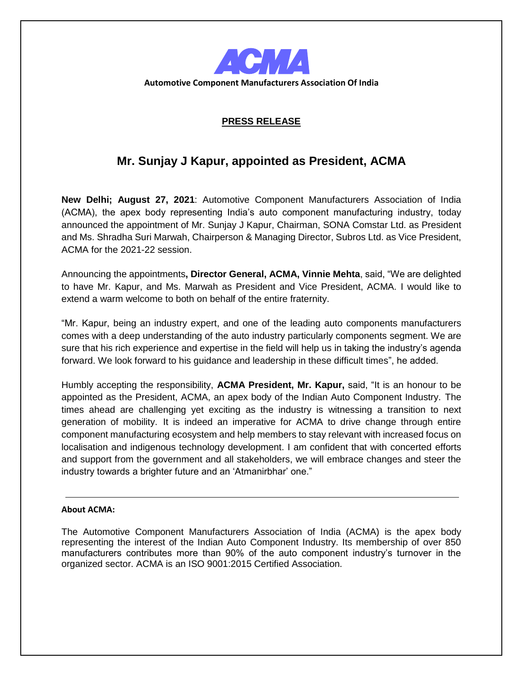

**Automotive Component Manufacturers Association Of India**

## **PRESS RELEASE**

## **Mr. Sunjay J Kapur, appointed as President, ACMA**

**New Delhi; August 27, 2021**: Automotive Component Manufacturers Association of India (ACMA), the apex body representing India's auto component manufacturing industry, today announced the appointment of Mr. Sunjay J Kapur, Chairman, SONA Comstar Ltd. as President and Ms. Shradha Suri Marwah, Chairperson & Managing Director, Subros Ltd. as Vice President, ACMA for the 2021-22 session.

Announcing the appointments**, Director General, ACMA, Vinnie Mehta**, said, "We are delighted to have Mr. Kapur, and Ms. Marwah as President and Vice President, ACMA. I would like to extend a warm welcome to both on behalf of the entire fraternity.

"Mr. Kapur, being an industry expert, and one of the leading auto components manufacturers comes with a deep understanding of the auto industry particularly components segment. We are sure that his rich experience and expertise in the field will help us in taking the industry's agenda forward. We look forward to his guidance and leadership in these difficult times", he added.

Humbly accepting the responsibility, **ACMA President, Mr. Kapur,** said, "It is an honour to be appointed as the President, ACMA, an apex body of the Indian Auto Component Industry. The times ahead are challenging yet exciting as the industry is witnessing a transition to next generation of mobility. It is indeed an imperative for ACMA to drive change through entire component manufacturing ecosystem and help members to stay relevant with increased focus on localisation and indigenous technology development. I am confident that with concerted efforts and support from the government and all stakeholders, we will embrace changes and steer the industry towards a brighter future and an 'Atmanirbhar' one."

## **About ACMA:**

The Automotive Component Manufacturers Association of India (ACMA) is the apex body representing the interest of the Indian Auto Component Industry. Its membership of over 850 manufacturers contributes more than 90% of the auto component industry's turnover in the organized sector. ACMA is an ISO 9001:2015 Certified Association.